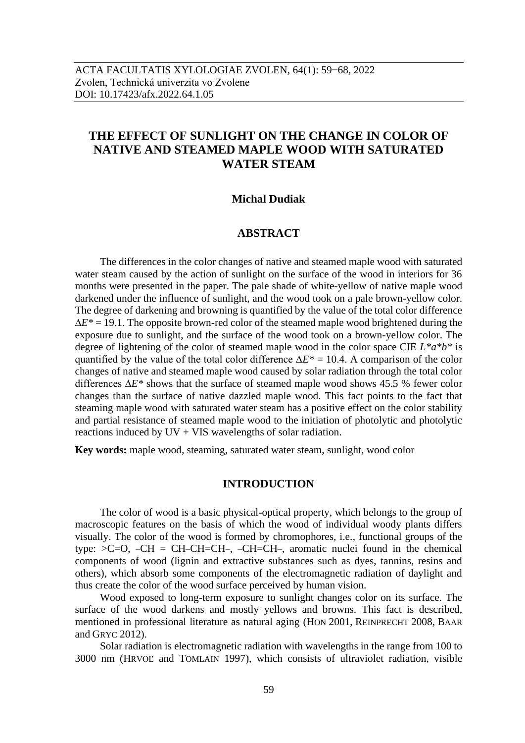# **THE EFFECT OF SUNLIGHT ON THE CHANGE IN COLOR OF NATIVE AND STEAMED MAPLE WOOD WITH SATURATED WATER STEAM**

#### **Michal Dudiak**

## **ABSTRACT**

The differences in the color changes of native and steamed maple wood with saturated water steam caused by the action of sunlight on the surface of the wood in interiors for 36 months were presented in the paper. The pale shade of white-yellow of native maple wood darkened under the influence of sunlight, and the wood took on a pale brown-yellow color. The degree of darkening and browning is quantified by the value of the total color difference ∆*E\** = 19.1. The opposite brown-red color of the steamed maple wood brightened during the exposure due to sunlight, and the surface of the wood took on a brown-yellow color. The degree of lightening of the color of steamed maple wood in the color space CIE *L\*a\*b\** is quantified by the value of the total color difference ∆*E\** = 10.4. A comparison of the color changes of native and steamed maple wood caused by solar radiation through the total color differences ∆*E\** shows that the surface of steamed maple wood shows 45.5 % fewer color changes than the surface of native dazzled maple wood. This fact points to the fact that steaming maple wood with saturated water steam has a positive effect on the color stability and partial resistance of steamed maple wood to the initiation of photolytic and photolytic reactions induced by  $UV + VIS$  wavelengths of solar radiation.

**Key words:** maple wood, steaming, saturated water steam, sunlight, wood color

#### **INTRODUCTION**

The color of wood is a basic physical-optical property, which belongs to the group of macroscopic features on the basis of which the wood of individual woody plants differs visually. The color of the wood is formed by chromophores, i.e., functional groups of the type: >C=O, –CH = CH–CH=CH–, –CH=CH–, aromatic nuclei found in the chemical components of wood (lignin and extractive substances such as dyes, tannins, resins and others), which absorb some components of the electromagnetic radiation of daylight and thus create the color of the wood surface perceived by human vision.

Wood exposed to long-term exposure to sunlight changes color on its surface. The surface of the wood darkens and mostly yellows and browns. This fact is described, mentioned in professional literature as natural aging (HON 2001, REINPRECHT 2008, BAAR and GRYC 2012).

Solar radiation is electromagnetic radiation with wavelengths in the range from 100 to 3000 nm (HRVOĽ and TOMLAIN 1997), which consists of ultraviolet radiation, visible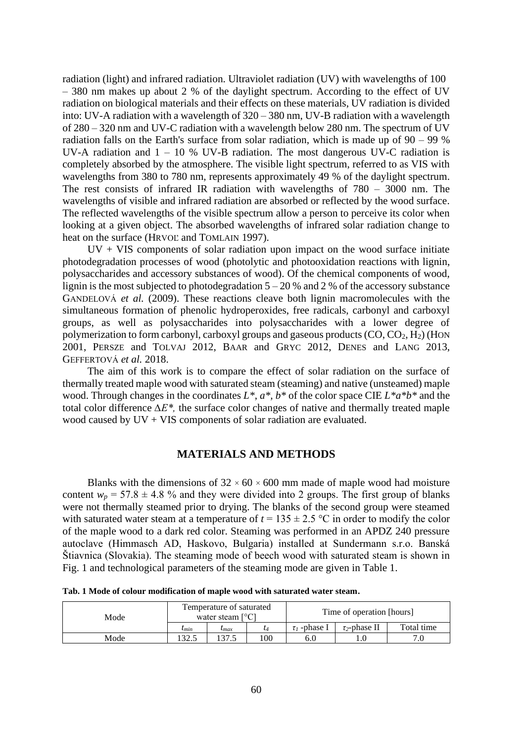radiation (light) and infrared radiation. Ultraviolet radiation (UV) with wavelengths of 100 – 380 nm makes up about 2 % of the daylight spectrum. According to the effect of UV radiation on biological materials and their effects on these materials, UV radiation is divided into: UV-A radiation with a wavelength of 320 – 380 nm, UV-B radiation with a wavelength of 280 – 320 nm and UV-C radiation with a wavelength below 280 nm. The spectrum of UV radiation falls on the Earth's surface from solar radiation, which is made up of 90 – 99 % UV-A radiation and  $1 - 10$  % UV-B radiation. The most dangerous UV-C radiation is completely absorbed by the atmosphere. The visible light spectrum, referred to as VIS with wavelengths from 380 to 780 nm, represents approximately 49 % of the daylight spectrum. The rest consists of infrared IR radiation with wavelengths of 780 – 3000 nm. The wavelengths of visible and infrared radiation are absorbed or reflected by the wood surface. The reflected wavelengths of the visible spectrum allow a person to perceive its color when looking at a given object. The absorbed wavelengths of infrared solar radiation change to heat on the surface (HRVOĽ and TOMLAIN 1997).

 $UV + VIS$  components of solar radiation upon impact on the wood surface initiate photodegradation processes of wood (photolytic and photooxidation reactions with lignin, polysaccharides and accessory substances of wood). Of the chemical components of wood, lignin is the most subjected to photodegradation  $5 - 20$  % and 2 % of the accessory substance GANDELOVÁ *et al.* (2009). These reactions cleave both lignin macromolecules with the simultaneous formation of phenolic hydroperoxides, free radicals, carbonyl and carboxyl groups, as well as polysaccharides into polysaccharides with a lower degree of polymerization to form carbonyl, carboxyl groups and gaseous products  $(CO, CO<sub>2</sub>, H<sub>2</sub>)$  (HON 2001, PERSZE and TOLVAJ 2012, BAAR and GRYC 2012, DENES and LANG 2013, GEFFERTOVÁ *et al.* 2018.

The aim of this work is to compare the effect of solar radiation on the surface of thermally treated maple wood with saturated steam (steaming) and native (unsteamed) maple wood. Through changes in the coordinates *L\**, *a\*, b\** of the color space CIE *L\*a\*b\** and the total color difference *∆E\*,* the surface color changes of native and thermally treated maple wood caused by UV + VIS components of solar radiation are evaluated.

#### **MATERIALS AND METHODS**

Blanks with the dimensions of  $32 \times 60 \times 600$  mm made of maple wood had moisture content  $w_p = 57.8 \pm 4.8$  % and they were divided into 2 groups. The first group of blanks were not thermally steamed prior to drying. The blanks of the second group were steamed with saturated water steam at a temperature of  $t = 135 \pm 2.5$  °C in order to modify the color of the maple wood to a dark red color. Steaming was performed in an APDZ 240 pressure autoclave (Himmasch AD, Haskovo, Bulgaria) installed at Sundermann s.r.o. Banská Štiavnica (Slovakia). The steaming mode of beech wood with saturated steam is shown in Fig. 1 and technological parameters of the steaming mode are given in Table 1.

| Mode | Temperature of saturated<br>water steam $\lceil \circ C \rceil$ |                    |     | Time of operation [hours] |                    |            |  |
|------|-----------------------------------------------------------------|--------------------|-----|---------------------------|--------------------|------------|--|
|      | $t_{min}$                                                       | $\iota$ <i>max</i> |     | $\tau_1$ -phase I         | $\tau_2$ -phase II | Total time |  |
| Mode | 32.5                                                            |                    | .00 | 6.0                       |                    |            |  |

**Tab. 1 Mode of colour modification of maple wood with saturated water steam.**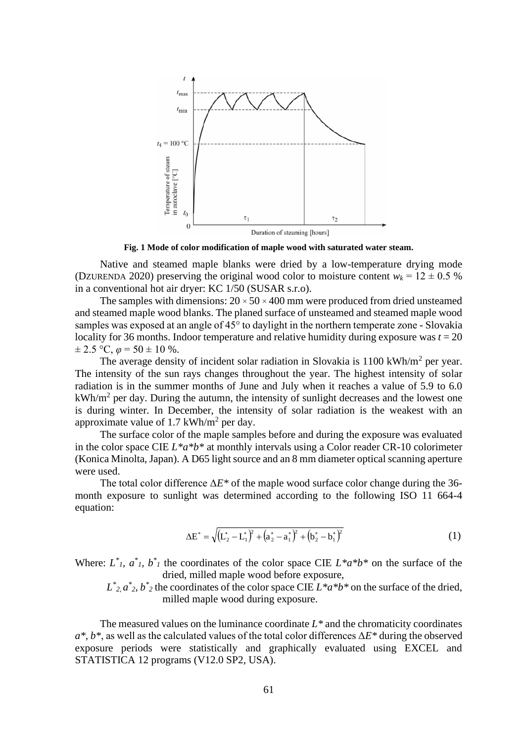

**Fig. 1 Mode of color modification of maple wood with saturated water steam.**

Native and steamed maple blanks were dried by a low-temperature drying mode (DZURENDA 2020) preserving the original wood color to moisture content  $w_k = 12 \pm 0.5$  % in a conventional hot air dryer: KC 1/50 (SUSAR s.r.o).

The samples with dimensions:  $20 \times 50 \times 400$  mm were produced from dried unsteamed and steamed maple wood blanks. The planed surface of unsteamed and steamed maple wood samples was exposed at an angle of 45° to daylight in the northern temperate zone - Slovakia locality for 36 months. Indoor temperature and relative humidity during exposure was  $t = 20$  $\pm 2.5$  °C,  $\varphi$  = 50  $\pm$  10 %.

The average density of incident solar radiation in Slovakia is  $1100 \text{ kWh/m}^2$  per year. The intensity of the sun rays changes throughout the year. The highest intensity of solar radiation is in the summer months of June and July when it reaches a value of 5.9 to 6.0 kWh/m<sup>2</sup> per day. During the autumn, the intensity of sunlight decreases and the lowest one is during winter. In December, the intensity of solar radiation is the weakest with an approximate value of 1.7 kWh/ $m<sup>2</sup>$  per day.

The surface color of the maple samples before and during the exposure was evaluated in the color space CIE *L\*a\*b\** at monthly intervals using a Color reader CR-10 colorimeter (Konica Minolta, Japan). A D65 light source and an 8 mm diameter optical scanning aperture were used.

The total color difference Δ*E\** of the maple wood surface color change during the 36 month exposure to sunlight was determined according to the following ISO 11 664-4 equation:

$$
\Delta E^* = \sqrt{\left(L_2^* - L_1^*\right)^2 + \left(a_2^* - a_1^*\right)^2 + \left(b_2^* - b_1^*\right)^2} \tag{1}
$$

Where:  $L^*$ ,  $a^*$ ,  $b^*$  the coordinates of the color space CIE  $L^*a^*b^*$  on the surface of the dried, milled maple wood before exposure,

 $L^*_{2}$ ,  $a^*_{2}$ ,  $b^*_{2}$  the coordinates of the color space CIE  $L^*a^*b^*$  on the surface of the dried, milled maple wood during exposure.

The measured values on the luminance coordinate *L\** and the chromaticity coordinates *a\**, *b\**, as well as the calculated values of the total color differences Δ*E\** during the observed exposure periods were statistically and graphically evaluated using EXCEL and STATISTICA 12 programs (V12.0 SP2, USA).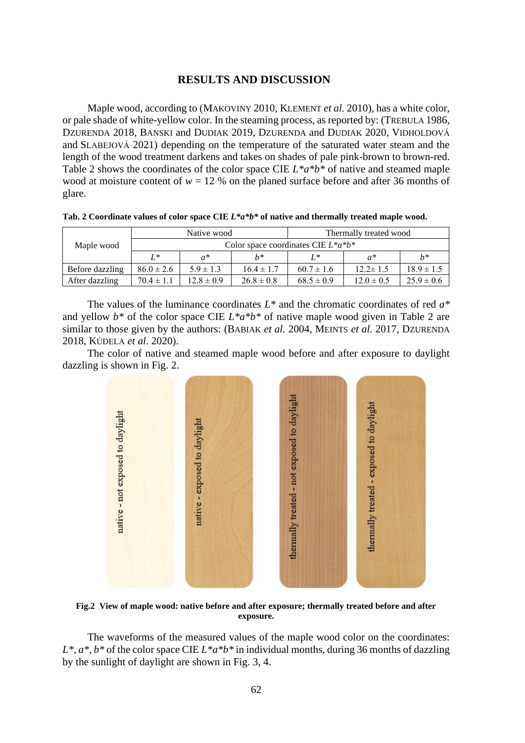#### **RESULTS AND DISCUSSION**

Maple wood, according to (MAKOVINY 2010, KLEMENT *et al.* 2010), has a white color, or pale shade of white-yellow color. In the steaming process, as reported by: (TREBULA 1986, DZURENDA 2018, BANSKI and DUDIAK 2019, DZURENDA and DUDIAK 2020, VIDHOLDOVÁ and SLABEJOVÁ 2021) depending on the temperature of the saturated water steam and the length of the wood treatment darkens and takes on shades of pale pink-brown to brown-red. Table 2 shows the coordinates of the color space CIE *L\*a\*b\** of native and steamed maple wood at moisture content of  $w = 12$  % on the planed surface before and after 36 months of glare.

| Maple wood      |                                         | Native wood    |                | Thermally treated wood |                |                |  |  |  |
|-----------------|-----------------------------------------|----------------|----------------|------------------------|----------------|----------------|--|--|--|
|                 | Color space coordinates CIE $L^*a^*b^*$ |                |                |                        |                |                |  |  |  |
|                 | $L^*$                                   | $a^*$          | $h*$           | $I*$                   | $a^*$          | $h^*$          |  |  |  |
| Before dazzling | $86.0 \pm 2.6$                          | $5.9 \pm 1.3$  | $16.4 \pm 1.7$ | $60.7 \pm 1.6$         | $12.2 \pm 1.5$ | $18.9 \pm 1.5$ |  |  |  |
| After dazzling  | $70.4 \pm 1.1$                          | $12.8 \pm 0.9$ | $26.8 \pm 0.8$ | $68.5 \pm 0.9$         | $12.0 \pm 0.5$ | $25.9 \pm 0.6$ |  |  |  |

The values of the luminance coordinates *L\** and the chromatic coordinates of red *a\** and yellow *b\** of the color space CIE *L\*a\*b\** of native maple wood given in Table 2 are similar to those given by the authors: (BABIAK *et al.* 2004, MEINTS *et al.* 2017, DZURENDA 2018, KÚDELA *et al*. 2020).

The color of native and steamed maple wood before and after exposure to daylight dazzling is shown in Fig. 2.



**Fig.2 View of maple wood: native before and after exposure; thermally treated before and after exposure.**

The waveforms of the measured values of the maple wood color on the coordinates: *L\*, a\*, b\** of the color space CIE *L\*a\*b\** in individual months, during 36 months of dazzling by the sunlight of daylight are shown in Fig. 3, 4.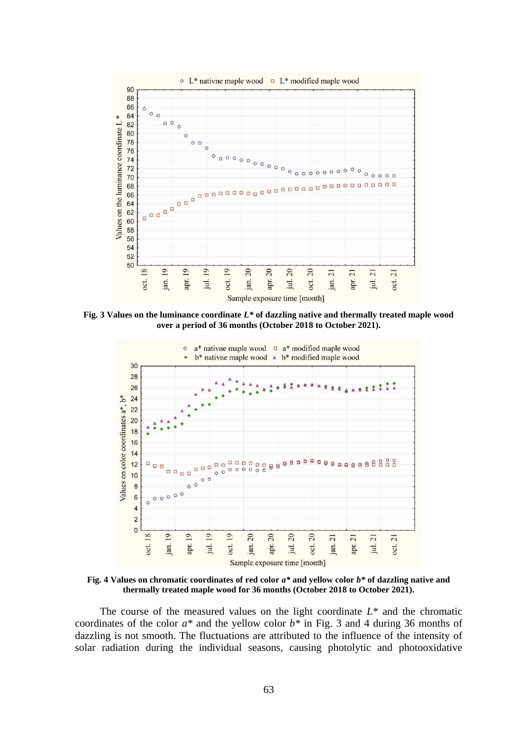

**Fig. 3 Values on the luminance coordinate** *L\** **of dazzling native and thermally treated maple wood over a period of 36 months (October 2018 to October 2021).**



**Fig. 4 Values on chromatic coordinates of red color** *a\** **and yellow color** *b\** **of dazzling native and thermally treated maple wood for 36 months (October 2018 to October 2021).**

The course of the measured values on the light coordinate *L\** and the chromatic coordinates of the color *a\** and the yellow color *b\** in Fig. 3 and 4 during 36 months of dazzling is not smooth. The fluctuations are attributed to the influence of the intensity of solar radiation during the individual seasons, causing photolytic and photooxidative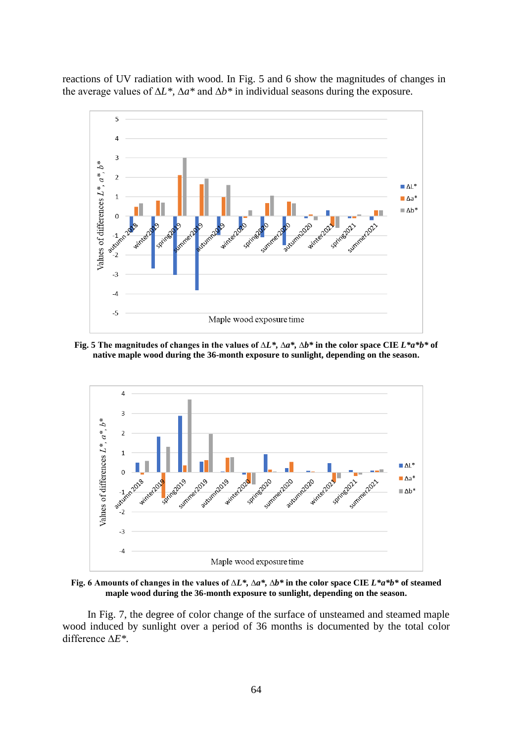reactions of UV radiation with wood. In Fig. 5 and 6 show the magnitudes of changes in the average values of ∆*L\*,* ∆*a\** and ∆*b\** in individual seasons during the exposure.



**Fig. 5 The magnitudes of changes in the values of ∆***L\*,* **∆***a\*,* **∆***b\** **in the color space CIE** *L\*a\*b\** **of native maple wood during the 36-month exposure to sunlight, depending on the season.**



**Fig. 6 Amounts of changes in the values of ∆***L\*,* **∆***a\*,* **∆***b\** **in the color space CIE** *L\*a\*b\** **of steamed maple wood during the 36-month exposure to sunlight, depending on the season.**

In Fig. 7, the degree of color change of the surface of unsteamed and steamed maple wood induced by sunlight over a period of 36 months is documented by the total color difference ∆*E\*.*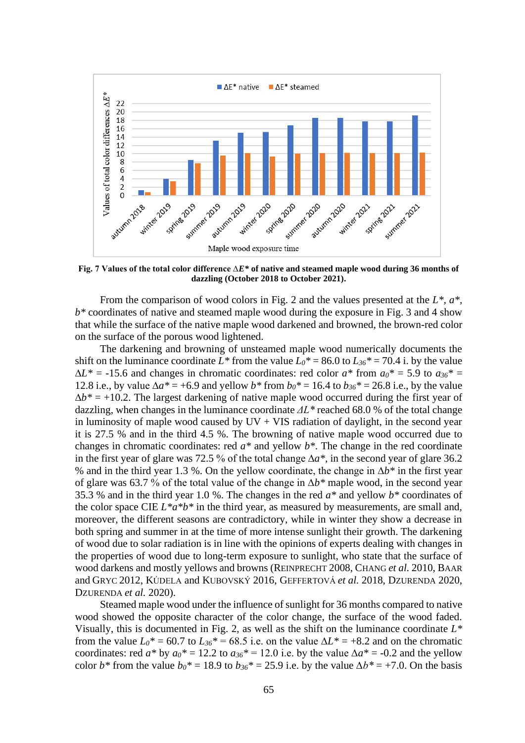

**Fig. 7 Values of the total color difference ∆***E\** **of native and steamed maple wood during 36 months of dazzling (October 2018 to October 2021).**

From the comparison of wood colors in Fig. 2 and the values presented at the *L\*, a\*, b\** coordinates of native and steamed maple wood during the exposure in Fig. 3 and 4 show that while the surface of the native maple wood darkened and browned, the brown-red color on the surface of the porous wood lightened.

The darkening and browning of unsteamed maple wood numerically documents the shift on the luminance coordinate  $L^*$  from the value  $L_0^* = 86.0$  to  $L_{30}^* = 70.4$  i. by the value  $\Delta L^* = -15.6$  and changes in chromatic coordinates: red color  $a^*$  from  $a_0^* = 5.9$  to  $a_{30}^* =$ 12.8 i.e., by value  $\Delta a^* = +6.9$  and yellow *b*<sup>\*</sup> from  $b_0$ <sup>\*</sup> = 16.4 to  $b_{36}$ <sup>\*</sup> = 26.8 i.e., by the value  $\Delta b^* = +10.2$ . The largest darkening of native maple wood occurred during the first year of dazzling, when changes in the luminance coordinate *ΔL\** reached 68.0 % of the total change in luminosity of maple wood caused by  $UV + VIS$  radiation of daylight, in the second year it is 27.5 % and in the third 4.5 %. The browning of native maple wood occurred due to changes in chromatic coordinates: red *a\** and yellow *b\**. The change in the red coordinate in the first year of glare was 72.5 % of the total change ∆*a\*,* in the second year of glare 36.2 % and in the third year 1.3 %. On the yellow coordinate, the change in ∆*b\** in the first year of glare was 63.7 % of the total value of the change in ∆*b\** maple wood, in the second year 35.3 % and in the third year 1.0 %. The changes in the red *a\** and yellow *b\** coordinates of the color space CIE  $L^*a^*b^*$  in the third year, as measured by measurements, are small and, moreover, the different seasons are contradictory, while in winter they show a decrease in both spring and summer in at the time of more intense sunlight their growth. The darkening of wood due to solar radiation is in line with the opinions of experts dealing with changes in the properties of wood due to long-term exposure to sunlight, who state that the surface of wood darkens and mostly yellows and browns (REINPRECHT 2008, CHANG *et al.* 2010, BAAR and GRYC 2012, KÚDELA and KUBOVSKÝ 2016, GEFFERTOVÁ *et al.* 2018, DZURENDA 2020, DZURENDA *et al.* 2020).

Steamed maple wood under the influence of sunlight for 36 months compared to native wood showed the opposite character of the color change, the surface of the wood faded. Visually, this is documented in Fig. 2, as well as the shift on the luminance coordinate *L\** from the value  $L_0^* = 60.7$  to  $L_{36}^* = 68.5$  i.e. on the value  $\Delta L^* = +8.2$  and on the chromatic coordinates: red *a\** by  $a_0^* = 12.2$  to  $a_{36}^* = 12.0$  i.e. by the value  $\Delta a^* = -0.2$  and the yellow color *b\** from the value  $b_0^* = 18.9$  to  $b_{36}^* = 25.9$  i.e. by the value  $\Delta b^* = +7.0$ . On the basis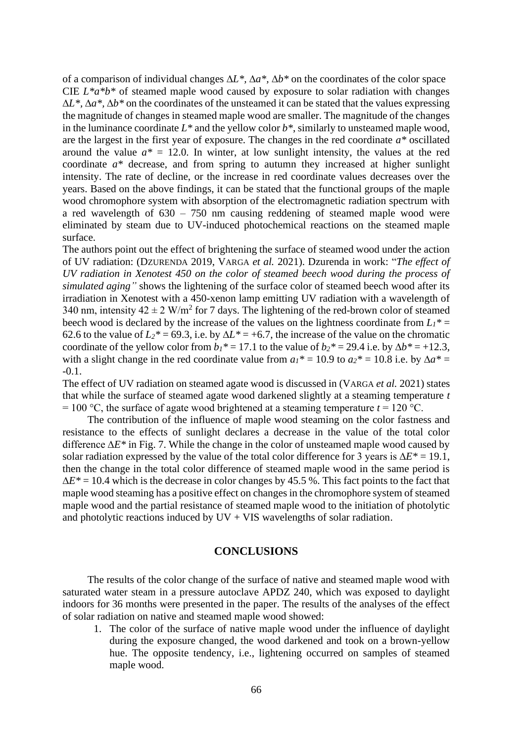of a comparison of individual changes ∆*L\*,* ∆*a\*,* ∆*b\** on the coordinates of the color space CIE *L\*a\*b\** of steamed maple wood caused by exposure to solar radiation with changes ∆*L\*,* ∆*a\*,* ∆*b\** on the coordinates of the unsteamed it can be stated that the values expressing the magnitude of changes in steamed maple wood are smaller. The magnitude of the changes in the luminance coordinate *L\** and the yellow color *b\**, similarly to unsteamed maple wood, are the largest in the first year of exposure. The changes in the red coordinate *a\** oscillated around the value  $a^* = 12.0$ . In winter, at low sunlight intensity, the values at the red coordinate *a\** decrease, and from spring to autumn they increased at higher sunlight intensity. The rate of decline, or the increase in red coordinate values decreases over the years. Based on the above findings, it can be stated that the functional groups of the maple wood chromophore system with absorption of the electromagnetic radiation spectrum with a red wavelength of 630 – 750 nm causing reddening of steamed maple wood were eliminated by steam due to UV-induced photochemical reactions on the steamed maple surface.

The authors point out the effect of brightening the surface of steamed wood under the action of UV radiation: (DZURENDA 2019, VARGA *et al.* 2021). Dzurenda in work: "*The effect of UV radiation in Xenotest 450 on the color of steamed beech wood during the process of simulated aging"* shows the lightening of the surface color of steamed beech wood after its irradiation in Xenotest with a 450-xenon lamp emitting UV radiation with a wavelength of 340 nm, intensity  $42 \pm 2$  W/m<sup>2</sup> for 7 days. The lightening of the red-brown color of steamed beech wood is declared by the increase of the values on the lightness coordinate from  $L_1^*$  = 62.6 to the value of  $L_2^*$  = 69.3, i.e. by  $\Delta L^*$  = +6.7, the increase of the value on the chromatic coordinate of the yellow color from  $b_1^* = 17.1$  to the value of  $b_2^* = 29.4$  i.e. by  $\Delta b^* = +12.3$ , with a slight change in the red coordinate value from  $a_1^* = 10.9$  to  $a_2^* = 10.8$  i.e. by  $\Delta a^* =$ -0.1.

The effect of UV radiation on steamed agate wood is discussed in (VARGA *et al.* 2021) states that while the surface of steamed agate wood darkened slightly at a steaming temperature *t*  $= 100 \degree C$ , the surface of agate wood brightened at a steaming temperature  $t = 120 \degree C$ .

The contribution of the influence of maple wood steaming on the color fastness and resistance to the effects of sunlight declares a decrease in the value of the total color difference ∆*E\** in Fig. 7. While the change in the color of unsteamed maple wood caused by solar radiation expressed by the value of the total color difference for 3 years is ∆*E\** = 19.1, then the change in the total color difference of steamed maple wood in the same period is ∆*E\** = 10.4 which is the decrease in color changes by 45.5 %. This fact points to the fact that maple wood steaming has a positive effect on changes in the chromophore system of steamed maple wood and the partial resistance of steamed maple wood to the initiation of photolytic and photolytic reactions induced by  $UV + VIS$  wavelengths of solar radiation.

### **CONCLUSIONS**

The results of the color change of the surface of native and steamed maple wood with saturated water steam in a pressure autoclave APDZ 240, which was exposed to daylight indoors for 36 months were presented in the paper. The results of the analyses of the effect of solar radiation on native and steamed maple wood showed:

1. The color of the surface of native maple wood under the influence of daylight during the exposure changed, the wood darkened and took on a brown-yellow hue. The opposite tendency, i.e., lightening occurred on samples of steamed maple wood.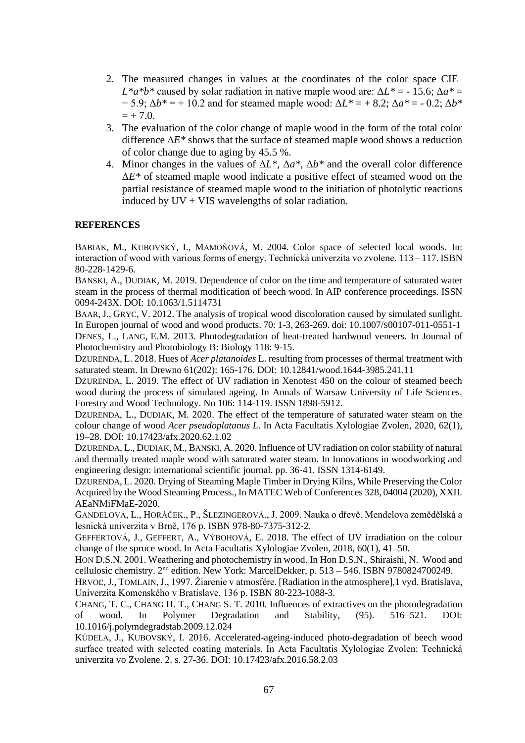- 2. The measured changes in values at the coordinates of the color space CIE  $L^*a^*b^*$  caused by solar radiation in native maple wood are:  $\Delta L^* = -15.6$ ;  $\Delta a^* =$  $+ 5.9$ ;  $\Delta b^* = +10.2$  and for steamed maple wood:  $\Delta L^* = +8.2$ ;  $\Delta a^* = -0.2$ ;  $\Delta b^*$  $= + 7.0.$
- 3. The evaluation of the color change of maple wood in the form of the total color difference ∆*E\** shows that the surface of steamed maple wood shows a reduction of color change due to aging by 45.5 %.
- 4. Minor changes in the values of Δ*L\*,* Δ*a\*,* Δ*b\** and the overall color difference Δ*E\** of steamed maple wood indicate a positive effect of steamed wood on the partial resistance of steamed maple wood to the initiation of photolytic reactions induced by  $UV + VIS$  wavelengths of solar radiation.

#### **REFERENCES**

BABIAK, M., KUBOVSKÝ, I., MAMOŇOVÁ, M. 2004. Color space of selected local woods. In: interaction of wood with various forms of energy. Technická univerzita vo zvolene. 113 – 117. ISBN 80-228-1429-6.

BANSKI, A., DUDIAK, M. 2019. Dependence of color on the time and temperature of saturated water steam in the process of thermal modification of beech wood. In AIP conference proceedings*.* ISSN 0094-243X. DOI: 10.1063/1.5114731

BAAR, J., GRYC, V. 2012. The analysis of tropical wood discoloration caused by simulated sunlight. In Europen journal of wood and wood products. 70: 1-3, 263-269. doi: 10.1007/S00107-011-0551-1 DENES, L., LANG, E.M. 2013. Photodegradation of heat-treated hardwood veneers. In Journal of

Photochemistry and Photobiology B: Biology 118: 9-15.

DZURENDA, L. 2018. Hues of *Acer platanoides* L. resulting from processes of thermal treatment with saturated steam. In Drewno 61(202): 165-176. DOI: 10.12841/wood.1644-3985.241.11

DZURENDA, L. 2019. The effect of UV radiation in Xenotest 450 on the colour of steamed beech wood during the process of simulated ageing. In Annals of Warsaw University of Life Sciences. Forestry and Wood Technology. No 106: 114-119. ISSN 1898-5912.

DZURENDA, L., DUDIAK, M. 2020. The effect of the temperature of saturated water steam on the colour change of wood *Acer pseudoplatanus L*. In Acta Facultatis Xylologiae Zvolen, 2020, 62(1), 19–28. DOI: 10.17423/afx.2020.62.1.02

DZURENDA, L., DUDIAK, M., BANSKI, A. 2020. Influence of UV radiation on color stability of natural and thermally treated maple wood with saturated water steam. In Innovations in woodworking and engineering design: international scientific journal. pp. 36-41. ISSN 1314-6149.

DZURENDA, L. 2020. Drying of Steaming Maple Timber in Drying Kilns, While Preserving the Color Acquired by the Wood Steaming Process., In MATEC Web of Conferences 328, 04004 (2020), XXII. AEaNMiFMaE-2020.

GANDELOVÁ, L., HORÁČEK., P., ŠLEZINGEROVÁ., J. 2009. Nauka o dřevě. Mendelova zemědělská a lesnická univerzita v Brně, 176 p. ISBN 978-80-7375-312-2.

GEFFERTOVÁ, J., GEFFERT, A., VÝBOHOVÁ, E. 2018. The effect of UV irradiation on the colour change of the spruce wood. In Acta Facultatis Xylologiae Zvolen, 2018, 60(1), 41–50.

HON D.S.N. 2001. Weathering and photochemistry in wood. In Hon D.S.N., Shiraishi, N. Wood and cellulosic chemistry. 2nd edition. New York: MarcelDekker, p. 513 – 546. ISBN 9780824700249.

HRVOĽ, J., TOMLAIN, J., 1997. Žiarenie v atmosfére. [Radiation in the atmosphere],1 vyd. Bratislava, Univerzita Komenského v Bratislave, 136 p. ISBN 80-223-1088-3.

CHANG, T. C., CHANG H. T., CHANG S. T. 2010. Influences of extractives on the photodegradation of wood. In Polymer Degradation and Stability, (95). 516–521. DOI: 10.1016/j.polymdegradstab.2009.12.024

KÚDELA, J., KUBOVSKÝ, I. 2016. Accelerated-ageing-induced photo-degradation of beech wood surface treated with selected coating materials. In Acta Facultatis Xylologiae Zvolen: Technická univerzita vo Zvolene. 2. s. 27-36. DOI: 10.17423/afx.2016.58.2.03